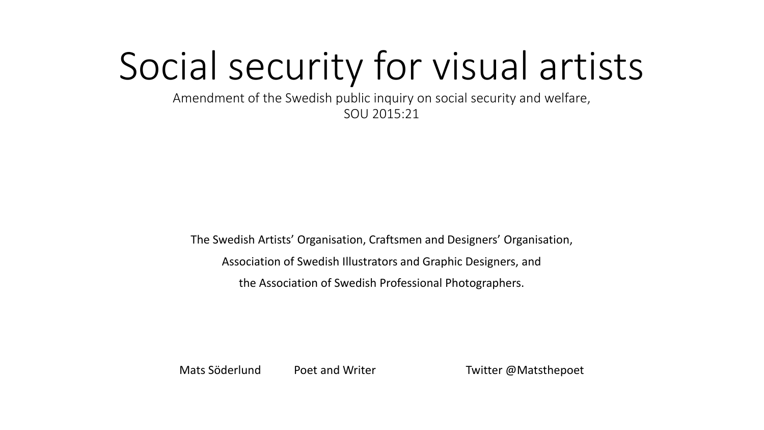# Social security for visual artists

Amendment of the Swedish public inquiry on social security and welfare, SOU 2015:21

The Swedish Artists' Organisation, Craftsmen and Designers' Organisation, Association of Swedish Illustrators and Graphic Designers, and the Association of Swedish Professional Photographers.

Mats Söderlund Poet and Writer **Twitter @Matsthepoet**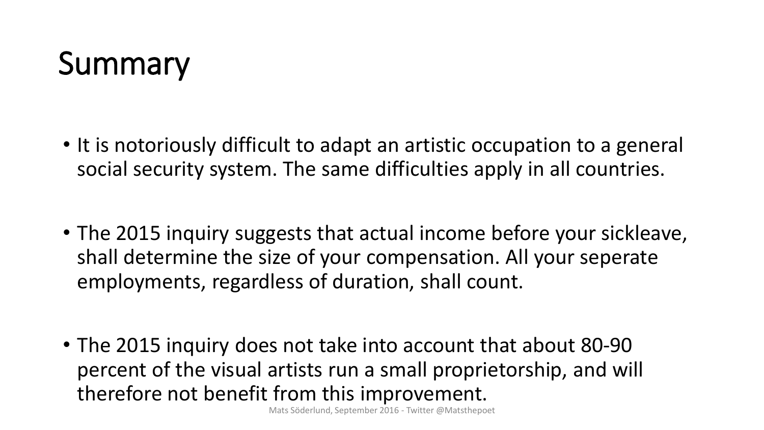### **Summary**

- It is notoriously difficult to adapt an artistic occupation to a general social security system. The same difficulties apply in all countries.
- The 2015 inquiry suggests that actual income before your sickleave, shall determine the size of your compensation. All your seperate employments, regardless of duration, shall count.
- The 2015 inquiry does not take into account that about 80-90 percent of the visual artists run a small proprietorship, and will therefore not benefit from this improvement.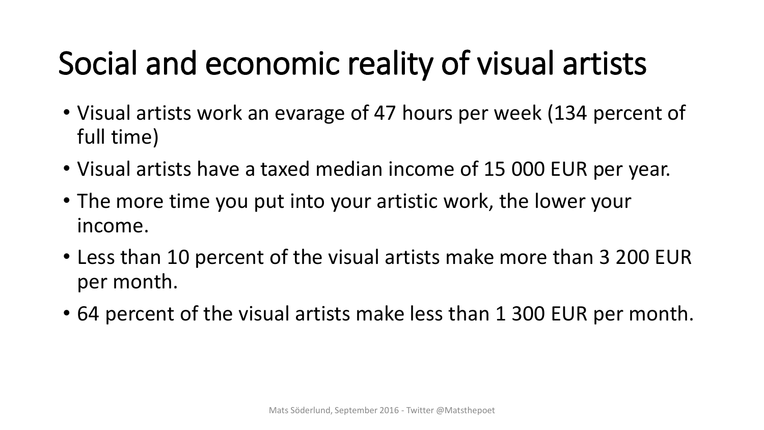## Social and economic reality of visual artists

- Visual artists work an evarage of 47 hours per week (134 percent of full time)
- Visual artists have a taxed median income of 15 000 EUR per year.
- The more time you put into your artistic work, the lower your income.
- Less than 10 percent of the visual artists make more than 3 200 EUR per month.
- 64 percent of the visual artists make less than 1 300 EUR per month.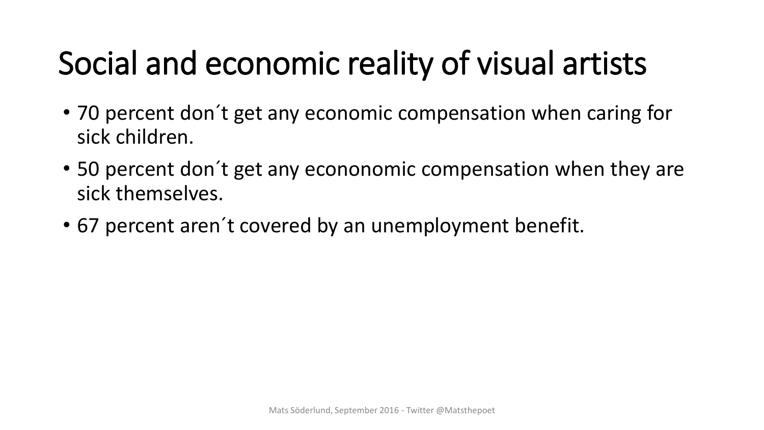# Social and economic reality of visual artists

- 70 percent don´t get any economic compensation when caring for sick children.
- 50 percent don´t get any econonomic compensation when they are sick themselves.
- 67 percent aren´t covered by an unemployment benefit.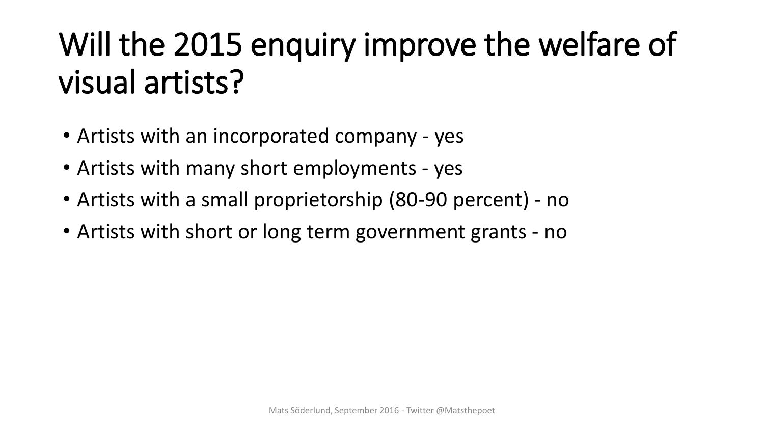# Will the 2015 enquiry improve the welfare of visual artists?

- Artists with an incorporated company yes
- Artists with many short employments yes
- Artists with a small proprietorship (80-90 percent) no
- Artists with short or long term government grants no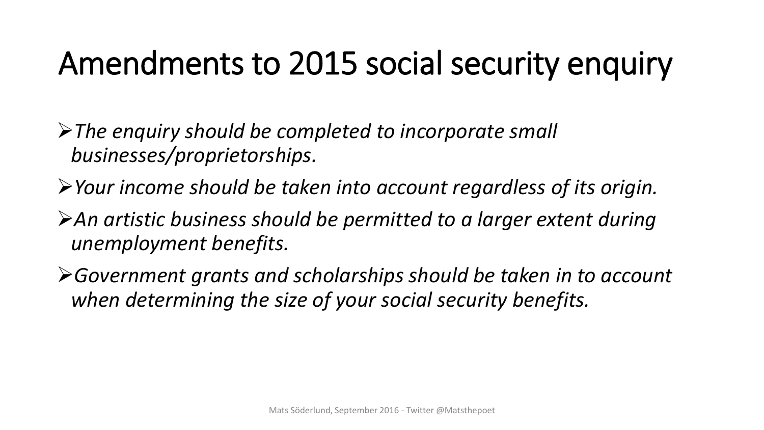#### Amendments to 2015 social security enquiry

*The enquiry should be completed to incorporate small businesses/proprietorships.*

- *Your income should be taken into account regardless of its origin.*
- An artistic business should be permitted to a larger extent during *unemployment benefits.*
- *Government grants and scholarships should be taken in to account when determining the size of your social security benefits.*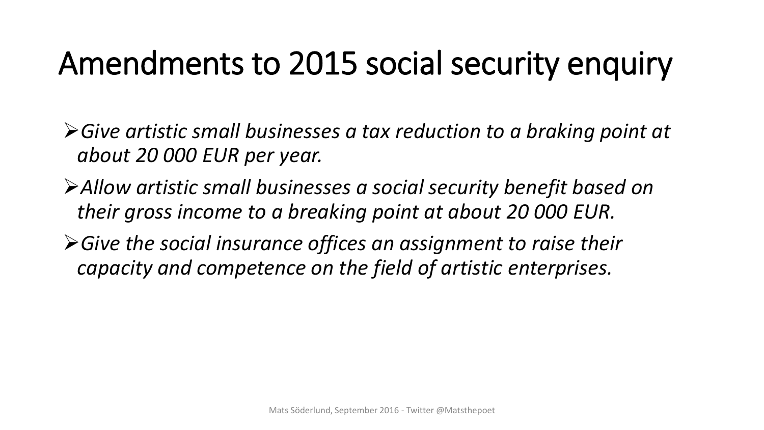#### Amendments to 2015 social security enquiry

*Give artistic small businesses a tax reduction to a braking point at about 20 000 EUR per year.*

- *Allow artistic small businesses a social security benefit based on their gross income to a breaking point at about 20 000 EUR.*
- *Give the social insurance offices an assignment to raise their capacity and competence on the field of artistic enterprises.*